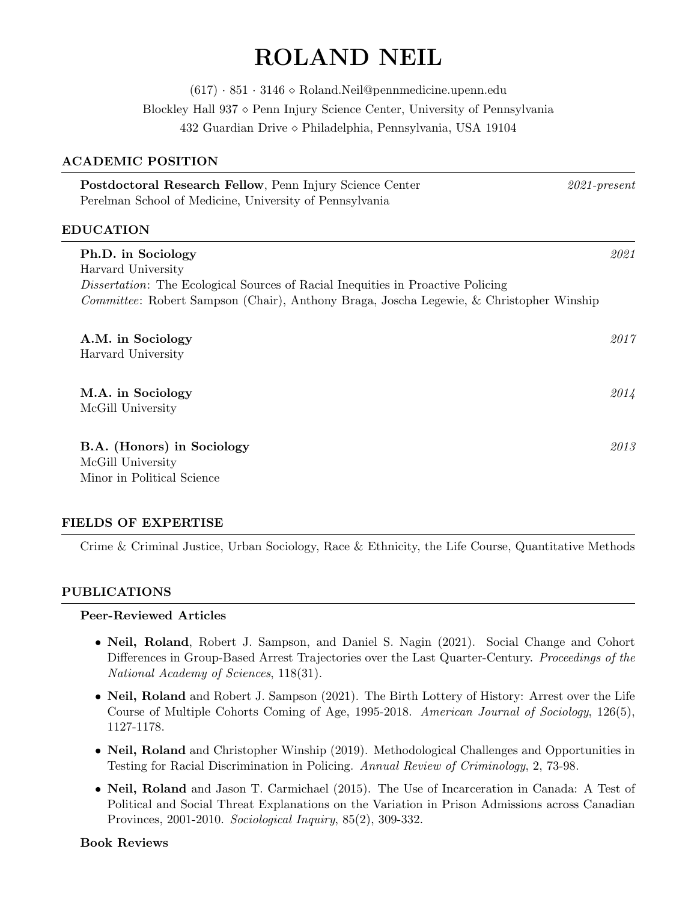# ROLAND NEIL

 $(617) \cdot 851 \cdot 3146 \diamond$  Roland. Neil@pennmedicine.upenn.edu Blockley Hall  $937 \diamond$  Penn Injury Science Center, University of Pennsylvania 432 Guardian Drive Philadelphia, Pennsylvania, USA 19104

# ACADEMIC POSITION

|                  | Postdoctoral Research Fellow, Penn Injury Science Center<br>Perelman School of Medicine, University of Pennsylvania                                                                                                           | $2021$ -present |
|------------------|-------------------------------------------------------------------------------------------------------------------------------------------------------------------------------------------------------------------------------|-----------------|
| <b>EDUCATION</b> |                                                                                                                                                                                                                               |                 |
|                  | Ph.D. in Sociology<br>Harvard University<br><i>Dissertation:</i> The Ecological Sources of Racial Inequities in Proactive Policing<br>Committee: Robert Sampson (Chair), Anthony Braga, Joscha Legewie, & Christopher Winship | 2021            |
|                  | A.M. in Sociology<br>Harvard University                                                                                                                                                                                       | 2017            |
|                  | M.A. in Sociology<br>McGill University                                                                                                                                                                                        | 2014            |
|                  | B.A. (Honors) in Sociology<br>McGill University<br>Minor in Political Science                                                                                                                                                 | 2013            |

# FIELDS OF EXPERTISE

Crime & Criminal Justice, Urban Sociology, Race & Ethnicity, the Life Course, Quantitative Methods

# PUBLICATIONS

#### Peer-Reviewed Articles

- Neil, Roland, Robert J. Sampson, and Daniel S. Nagin (2021). Social Change and Cohort Differences in Group-Based Arrest Trajectories over the Last Quarter-Century. Proceedings of the National Academy of Sciences, 118(31).
- Neil, Roland and Robert J. Sampson (2021). The Birth Lottery of History: Arrest over the Life Course of Multiple Cohorts Coming of Age, 1995-2018. American Journal of Sociology, 126(5), 1127-1178.
- Neil, Roland and Christopher Winship (2019). Methodological Challenges and Opportunities in Testing for Racial Discrimination in Policing. Annual Review of Criminology, 2, 73-98.
- Neil, Roland and Jason T. Carmichael (2015). The Use of Incarceration in Canada: A Test of Political and Social Threat Explanations on the Variation in Prison Admissions across Canadian Provinces, 2001-2010. Sociological Inquiry, 85(2), 309-332.

#### Book Reviews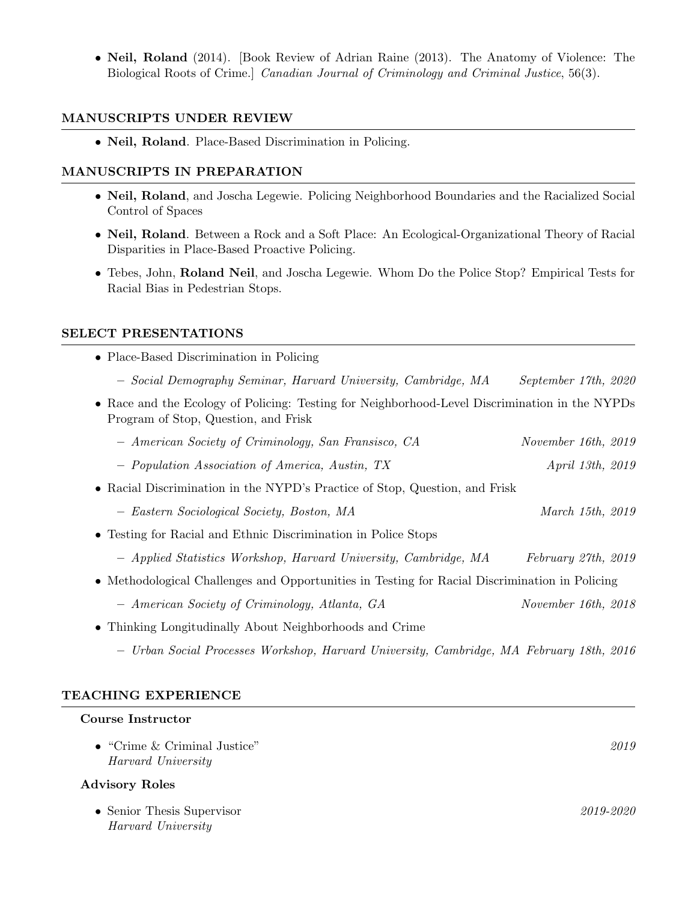• Neil, Roland (2014). [Book Review of Adrian Raine (2013). The Anatomy of Violence: The Biological Roots of Crime.] Canadian Journal of Criminology and Criminal Justice, 56(3).

### MANUSCRIPTS UNDER REVIEW

• Neil, Roland. Place-Based Discrimination in Policing.

# MANUSCRIPTS IN PREPARATION

- Neil, Roland, and Joscha Legewie. Policing Neighborhood Boundaries and the Racialized Social Control of Spaces
- Neil, Roland. Between a Rock and a Soft Place: An Ecological-Organizational Theory of Racial Disparities in Place-Based Proactive Policing.
- Tebes, John, Roland Neil, and Joscha Legewie. Whom Do the Police Stop? Empirical Tests for Racial Bias in Pedestrian Stops.

### SELECT PRESENTATIONS

- Place-Based Discrimination in Policing
	- Social Demography Seminar, Harvard University, Cambridge, MA September 17th, 2020
- Race and the Ecology of Policing: Testing for Neighborhood-Level Discrimination in the NYPDs Program of Stop, Question, and Frisk

| - American Society of Criminology, San Fransisco, CA                                           | November 16th, 2019     |
|------------------------------------------------------------------------------------------------|-------------------------|
| - Population Association of America, Austin, TX                                                | <i>April 13th, 2019</i> |
| • Racial Discrimination in the NYPD's Practice of Stop, Question, and Frisk                    |                         |
| - Eastern Sociological Society, Boston, MA                                                     | March 15th, 2019        |
| • Testing for Racial and Ethnic Discrimination in Police Stops                                 |                         |
| - Applied Statistics Workshop, Harvard University, Cambridge, MA                               | February 27th, 2019     |
| • Methodological Challenges and Opportunities in Testing for Racial Discrimination in Policing |                         |
| - American Society of Criminology, Atlanta, GA                                                 | November 16th, 2018     |
| • Thinking Longitudinally About Neighborhoods and Crime                                        |                         |
| - Urban Social Processes Workshop, Harvard University, Cambridge, MA February 18th, 2016       |                         |

### TEACHING EXPERIENCE

#### Course Instructor

| $\bullet$ "Crime & Criminal Justice"<br>Harvard University | 2019      |
|------------------------------------------------------------|-----------|
| <b>Advisory Roles</b>                                      |           |
| • Senior Thesis Supervisor<br>Harvard University           | 2019-2020 |